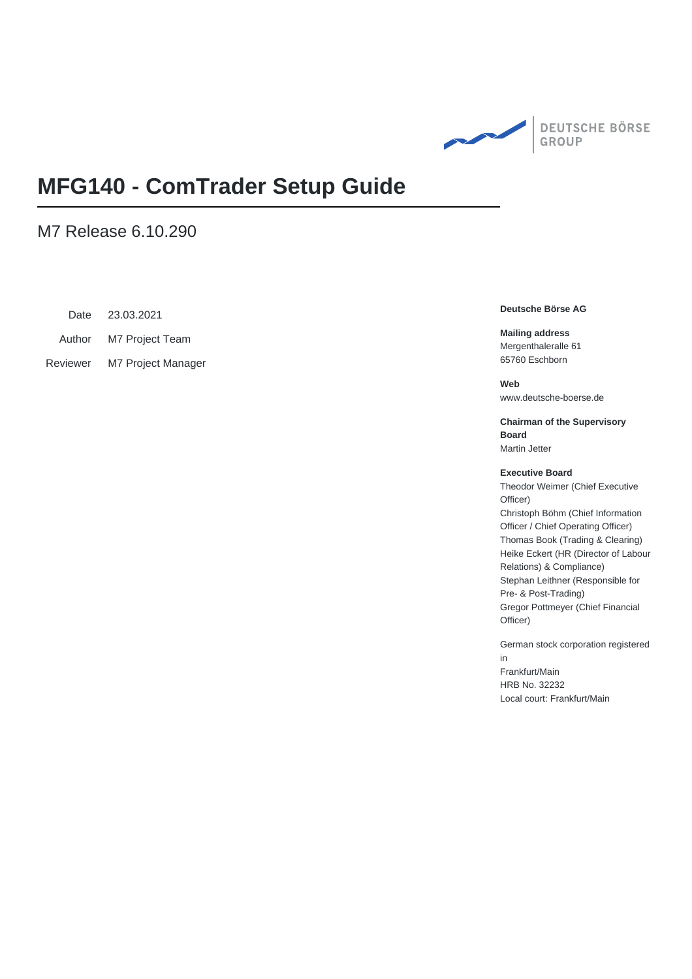

# **MFG140 - ComTrader Setup Guide**

### M7 Release 6.10.290

Date 23.03.2021

Author M7 Project Team

Reviewer M7 Project Manager

#### **Deutsche Börse AG**

**Mailing address** Mergenthaleralle 61 65760 Eschborn

**Web** www.deutsche-boerse.de

**Chairman of the Supervisory Board** Martin Jetter

#### **Executive Board**

Theodor Weimer (Chief Executive Officer) Christoph Böhm (Chief Information Officer / Chief Operating Officer) Thomas Book (Trading & Clearing) Heike Eckert (HR (Director of Labour Relations) & Compliance) Stephan Leithner (Responsible for Pre- & Post-Trading) Gregor Pottmeyer (Chief Financial Officer)

German stock corporation registered in Frankfurt/Main HRB No. 32232

Local court: Frankfurt/Main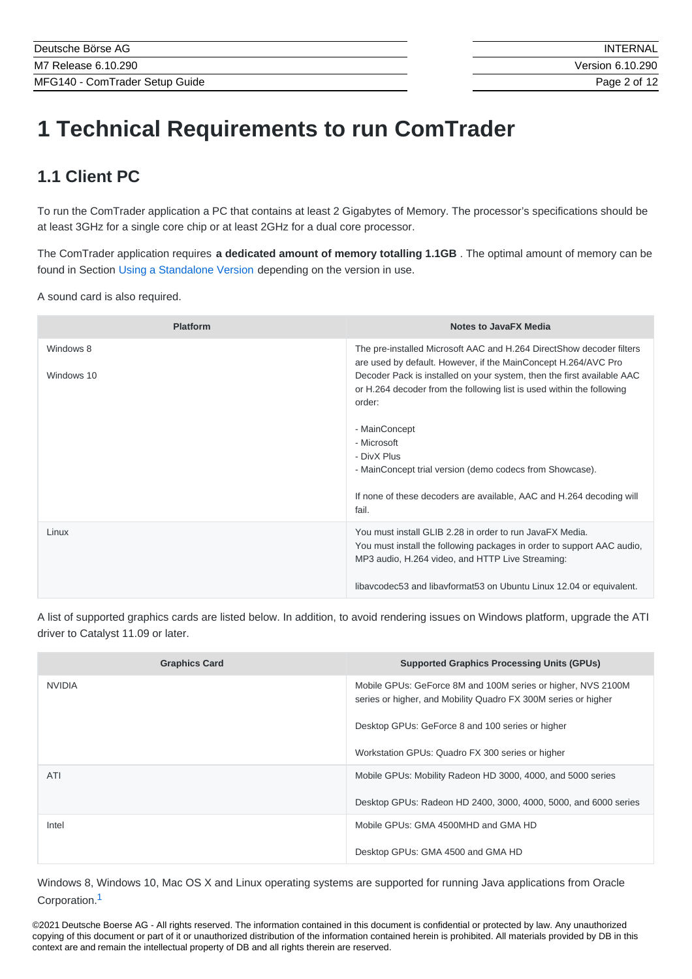# **1 Technical Requirements to run ComTrader**

# **1.1 Client PC**

To run the ComTrader application a PC that contains at least 2 Gigabytes of Memory. The processor's specifications should be at least 3GHz for a single core chip or at least 2GHz for a dual core processor.

The ComTrader application requires **a dedicated amount of memory totalling 1.1GB** . The optimal amount of memory can be found in Section Using a [Standalone](#page-10-0) Version depending on the version in use.

A sound card is also required.

| <b>Platform</b> | <b>Notes to JavaFX Media</b>                                                                                                                                                           |
|-----------------|----------------------------------------------------------------------------------------------------------------------------------------------------------------------------------------|
| Windows 8       | The pre-installed Microsoft AAC and H.264 DirectShow decoder filters<br>are used by default. However, if the MainConcept H.264/AVC Pro                                                 |
| Windows 10      | Decoder Pack is installed on your system, then the first available AAC<br>or H.264 decoder from the following list is used within the following<br>order:                              |
|                 | - MainConcept                                                                                                                                                                          |
|                 | - Microsoft                                                                                                                                                                            |
|                 | - DivX Plus                                                                                                                                                                            |
|                 | - MainConcept trial version (demo codecs from Showcase).                                                                                                                               |
|                 | If none of these decoders are available, AAC and H.264 decoding will<br>fail.                                                                                                          |
| Linux           | You must install GLIB 2.28 in order to run JavaFX Media.<br>You must install the following packages in order to support AAC audio,<br>MP3 audio, H.264 video, and HTTP Live Streaming: |
|                 |                                                                                                                                                                                        |
|                 | libaycodec53 and libayformat53 on Ubuntu Linux 12.04 or equivalent.                                                                                                                    |

A list of supported graphics cards are listed below. In addition, to avoid rendering issues on Windows platform, upgrade the ATI driver to Catalyst 11.09 or later.

| <b>Graphics Card</b> | <b>Supported Graphics Processing Units (GPUs)</b>                                                                              |
|----------------------|--------------------------------------------------------------------------------------------------------------------------------|
| <b>NVIDIA</b>        | Mobile GPUs: GeForce 8M and 100M series or higher, NVS 2100M<br>series or higher, and Mobility Quadro FX 300M series or higher |
|                      | Desktop GPUs: GeForce 8 and 100 series or higher                                                                               |
|                      | Workstation GPUs: Quadro FX 300 series or higher                                                                               |
| ATI                  | Mobile GPUs: Mobility Radeon HD 3000, 4000, and 5000 series                                                                    |
|                      | Desktop GPUs: Radeon HD 2400, 3000, 4000, 5000, and 6000 series                                                                |
| Intel                | Mobile GPUs: GMA 4500MHD and GMA HD                                                                                            |
|                      | Desktop GPUs: GMA 4500 and GMA HD                                                                                              |

<span id="page-1-0"></span>Windows 8, Windows 10, Mac OS X and Linux operating systems are supported for running Java applications from Oracle Corporation. [1](#page-11-0)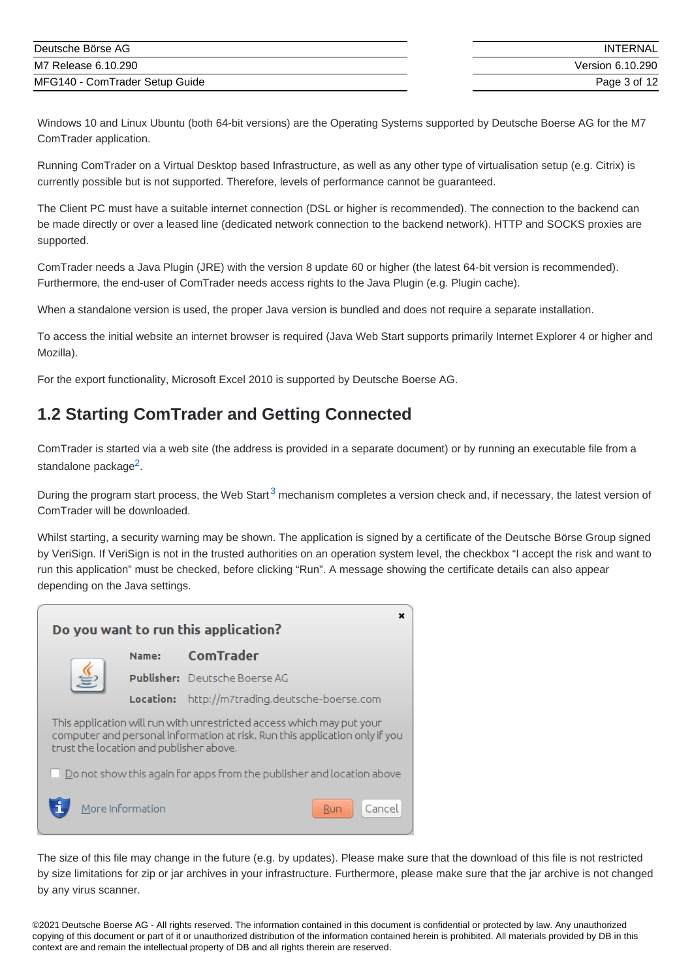| Deutsche Börse AG              | INTERNAL         |
|--------------------------------|------------------|
| M7 Release 6.10.290            | Version 6.10.290 |
| MFG140 - ComTrader Setup Guide | Page 3 of 12     |

Windows 10 and Linux Ubuntu (both 64-bit versions) are the Operating Systems supported by Deutsche Boerse AG for the M7 ComTrader application.

Running ComTrader on a Virtual Desktop based Infrastructure, as well as any other type of virtualisation setup (e.g. Citrix) is currently possible but is not supported. Therefore, levels of performance cannot be guaranteed.

The Client PC must have a suitable internet connection (DSL or higher is recommended). The connection to the backend can be made directly or over a leased line (dedicated network connection to the backend network). HTTP and SOCKS proxies are supported.

ComTrader needs a Java Plugin (JRE) with the version 8 update 60 or higher (the latest 64-bit version is recommended). Furthermore, the end-user of ComTrader needs access rights to the Java Plugin (e.g. Plugin cache).

When a standalone version is used, the proper Java version is bundled and does not require a separate installation.

To access the initial website an internet browser is required (Java Web Start supports primarily Internet Explorer 4 or higher and Mozilla).

For the export functionality, Microsoft Excel 2010 is supported by Deutsche Boerse AG.

# <span id="page-2-0"></span>**1.2 Starting ComTrader and Getting Connected**

<span id="page-2-1"></span>ComTrader is started via a web site (the address is provided in a separate document) or by running an executable file from a standalone package<sup>[2](#page-11-1)</sup>.

<span id="page-2-2"></span>During the program start process, the Web Start<sup>[3](#page-11-2)</sup> mechanism completes a version check and, if necessary, the latest version of ComTrader will be downloaded.

Whilst starting, a security warning may be shown. The application is signed by a certificate of the Deutsche Börse Group signed by VeriSign. If VeriSign is not in the trusted authorities on an operation system level, the checkbox "I accept the risk and want to run this application" must be checked, before clicking "Run". A message showing the certificate details can also appear depending on the Java settings.

|                                                                                                                                                                                                 |                  | Do you want to run this application?                                         |
|-------------------------------------------------------------------------------------------------------------------------------------------------------------------------------------------------|------------------|------------------------------------------------------------------------------|
|                                                                                                                                                                                                 | Name:            | <b>ComTrader</b>                                                             |
|                                                                                                                                                                                                 |                  | Publisher: Deutsche Boerse AG                                                |
|                                                                                                                                                                                                 | Location:        | http://m7trading.deutsche-boerse.com                                         |
| This application will run with unrestricted access which may put your<br>computer and personal information at risk. Run this application only if you<br>trust the location and publisher above. |                  |                                                                              |
|                                                                                                                                                                                                 |                  | $\Box$ Do not show this again for apps from the publisher and location above |
|                                                                                                                                                                                                 | More Information | Cancel<br>Run                                                                |

The size of this file may change in the future (e.g. by updates). Please make sure that the download of this file is not restricted by size limitations for zip or jar archives in your infrastructure. Furthermore, please make sure that the jar archive is not changed by any virus scanner.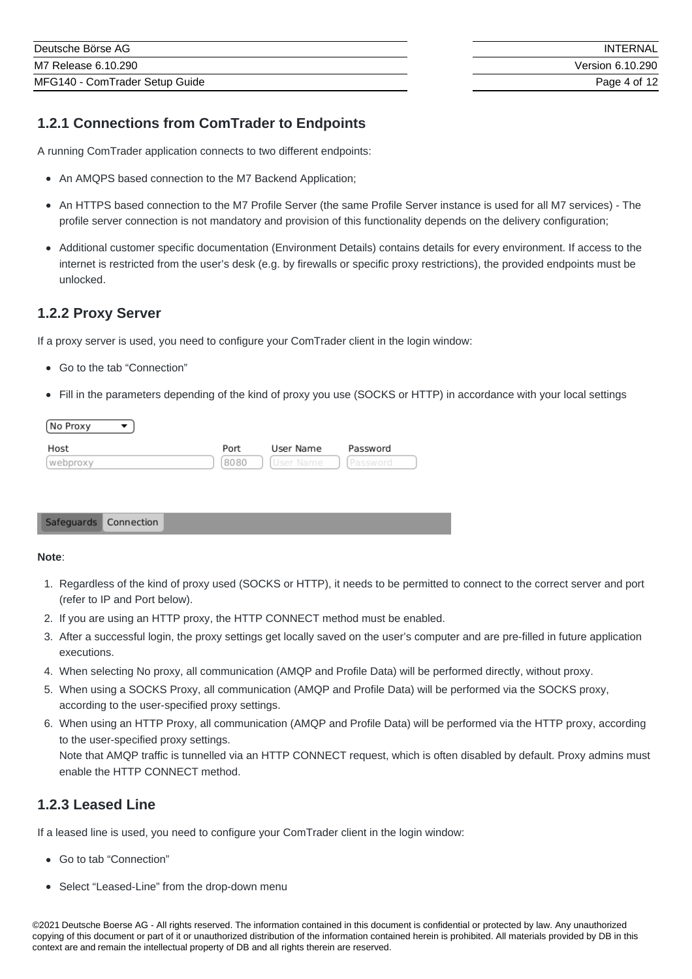### **1.2.1 Connections from ComTrader to Endpoints**

A running ComTrader application connects to two different endpoints:

- An AMQPS based connection to the M7 Backend Application;
- An HTTPS based connection to the M7 Profile Server (the same Profile Server instance is used for all M7 services) The profile server connection is not mandatory and provision of this functionality depends on the delivery configuration;
- Additional customer specific documentation (Environment Details) contains details for every environment. If access to the internet is restricted from the user's desk (e.g. by firewalls or specific proxy restrictions), the provided endpoints must be unlocked.

### <span id="page-3-0"></span>**1.2.2 Proxy Server**

If a proxy server is used, you need to configure your ComTrader client in the login window:

- Go to the tab "Connection"
- Fill in the parameters depending of the kind of proxy you use (SOCKS or HTTP) in accordance with your local settings

| No Proxy |      |           |          |
|----------|------|-----------|----------|
| Host     | Port | User Name | Password |
| webproxy | 8080 | User Name |          |

#### Safeguards Connection

#### **Note**:

- 1. Regardless of the kind of proxy used (SOCKS or HTTP), it needs to be permitted to connect to the correct server and port (refer to IP and Port below).
- 2. If you are using an HTTP proxy, the HTTP CONNECT method must be enabled.
- 3. After a successful login, the proxy settings get locally saved on the user's computer and are pre-filled in future application executions.
- 4. When selecting No proxy, all communication (AMQP and Profile Data) will be performed directly, without proxy.
- 5. When using a SOCKS Proxy, all communication (AMQP and Profile Data) will be performed via the SOCKS proxy, according to the user-specified proxy settings.
- 6. When using an HTTP Proxy, all communication (AMQP and Profile Data) will be performed via the HTTP proxy, according to the user-specified proxy settings. Note that AMQP traffic is tunnelled via an HTTP CONNECT request, which is often disabled by default. Proxy admins must enable the HTTP CONNECT method.

### **1.2.3 Leased Line**

If a leased line is used, you need to configure your ComTrader client in the login window:

- Go to tab "Connection"
- Select "Leased-Line" from the drop-down menu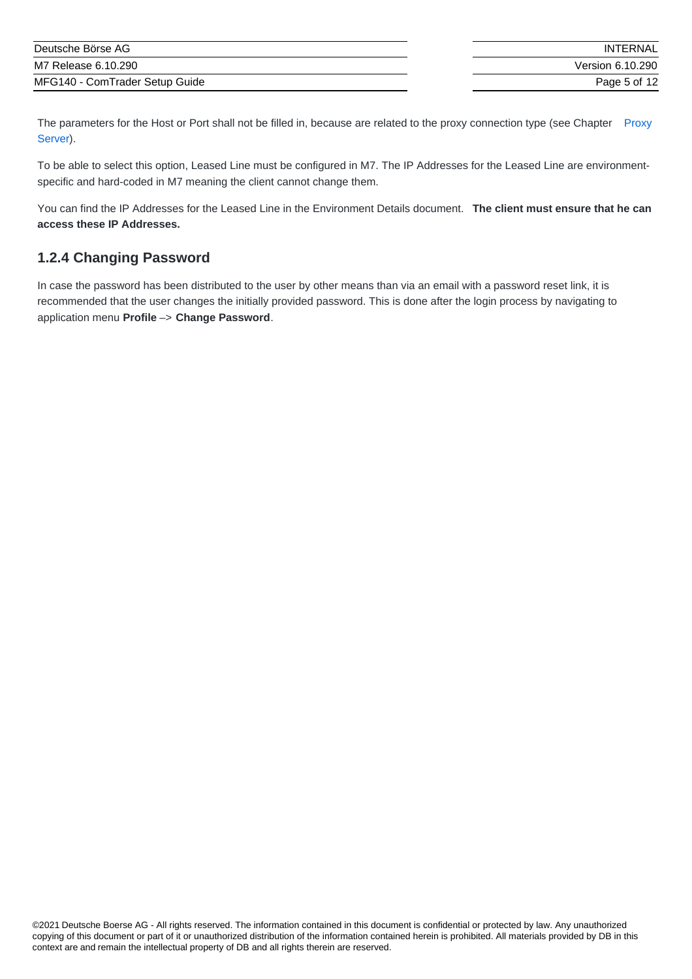| Deutsche Börse AG              | INTERNAL         |
|--------------------------------|------------------|
| M7 Release 6.10.290            | Version 6.10.290 |
| MFG140 - ComTrader Setup Guide | Page 5 of 12     |

The [parameters](#page-3-0) for the Host or Port shall not be filled in, because are related to the proxy connection type (see Chapter Proxy Server).

To be able to select this option, Leased Line must be configured in M7. The IP Addresses for the Leased Line are environmentspecific and hard-coded in M7 meaning the client cannot change them.

You can find the IP Addresses for the Leased Line in the Environment Details document. **The client must ensure that he can access these IP Addresses.**

### **1.2.4 Changing Password**

In case the password has been distributed to the user by other means than via an email with a password reset link, it is recommended that the user changes the initially provided password. This is done after the login process by navigating to application menu **Profile** –> **Change Password**.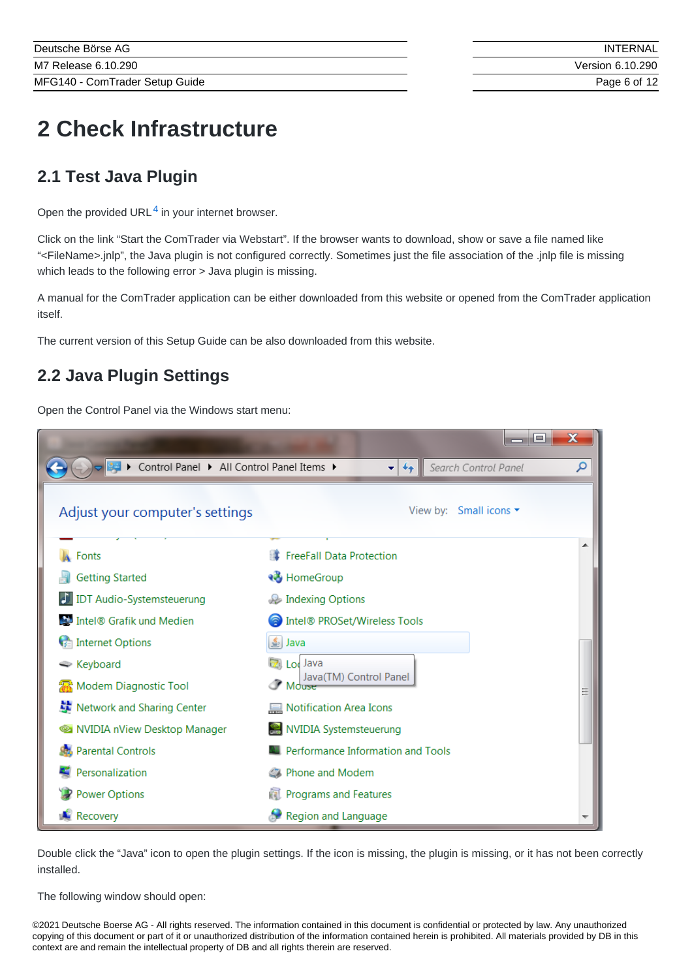# **2 Check Infrastructure**

# **2.1 Test Java Plugin**

<span id="page-5-1"></span>Open the provided URL $<sup>4</sup>$  $<sup>4</sup>$  $<sup>4</sup>$  in your internet browser.</sup>

Click on the link "Start the ComTrader via Webstart". If the browser wants to download, show or save a file named like "<FileName>.jnlp", the Java plugin is not configured correctly. Sometimes just the file association of the .jnlp file is missing which leads to the following error > Java plugin is missing.

A manual for the ComTrader application can be either downloaded from this website or opened from the ComTrader application itself.

The current version of this Setup Guide can be also downloaded from this website.

# <span id="page-5-0"></span>**2.2 Java Plugin Settings**

Open the Control Panel via the Windows start menu:

| ▶ Control Panel ▶ All Control Panel Items ▶ | Search Control Panel<br>Ω<br>$++$<br>▼∣ |
|---------------------------------------------|-----------------------------------------|
| Adjust your computer's settings             | View by: Small icons $\star$            |
| Fonts                                       | <b>FreeFall Data Protection</b>         |
| <b>Getting Started</b>                      | <b>R</b> HomeGroup                      |
| <b>IDT Audio-Systemsteuerung</b>            | Indexing Options                        |
| Intel® Grafik und Medien                    | Intel® PROSet/Wireless Tools            |
| Internet Options                            | $\frac{4}{2}$ Java                      |
| ← Keyboard                                  | <b>Z</b> Loc Java                       |
| Modem Diagnostic Tool                       | Java(TM) Control Panel<br>$M$ durse     |
| Network and Sharing Center                  | Notification Area Icons                 |
| NVIDIA nView Desktop Manager                | <b>NVIDIA Systemsteuerung</b>           |
| <b>Parental Controls</b>                    | Performance Information and Tools       |
| Personalization                             | Phone and Modem                         |
| <b>Power Options</b>                        | <b>Programs and Features</b>            |
| Recovery                                    | Region and Language                     |

Double click the "Java" icon to open the plugin settings. If the icon is missing, the plugin is missing, or it has not been correctly installed.

The following window should open: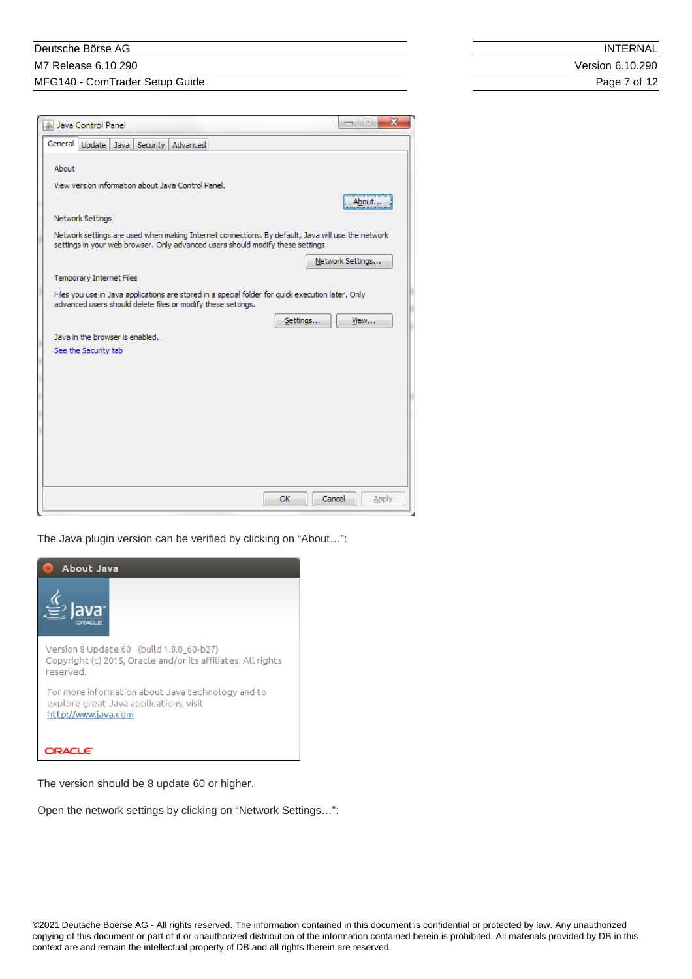#### Deutsche Börse AG

M7 Release 6.10.290

MFG140 - ComTrader Setup Guide

**INTERNAL** Version 6.10.290 Page 7 of 12

| 系 Java Control Panel                                                                                                                                                                 | œ                     |
|--------------------------------------------------------------------------------------------------------------------------------------------------------------------------------------|-----------------------|
| General<br>Update<br>Java Security Advanced                                                                                                                                          |                       |
| About                                                                                                                                                                                |                       |
| View version information about Java Control Panel.                                                                                                                                   |                       |
|                                                                                                                                                                                      | About                 |
| Network Settings                                                                                                                                                                     |                       |
| Network settings are used when making Internet connections. By default, Java will use the network<br>settings in your web browser. Only advanced users should modify these settings. |                       |
|                                                                                                                                                                                      | Network Settings      |
| <b>Temporary Internet Files</b>                                                                                                                                                      |                       |
| Files you use in Java applications are stored in a special folder for quick execution later. Only<br>advanced users should delete files or modify these settings.                    |                       |
|                                                                                                                                                                                      | View<br>Settings      |
| Java in the browser is enabled.                                                                                                                                                      |                       |
| See the Security tab                                                                                                                                                                 |                       |
|                                                                                                                                                                                      |                       |
|                                                                                                                                                                                      |                       |
|                                                                                                                                                                                      |                       |
|                                                                                                                                                                                      |                       |
|                                                                                                                                                                                      |                       |
|                                                                                                                                                                                      |                       |
|                                                                                                                                                                                      |                       |
|                                                                                                                                                                                      | Cancel<br>OK<br>Apply |
|                                                                                                                                                                                      |                       |

 $\Box$ 

The Java plugin version can be verified by clicking on "About…":



The version should be 8 update 60 or higher.

Open the network settings by clicking on "Network Settings…":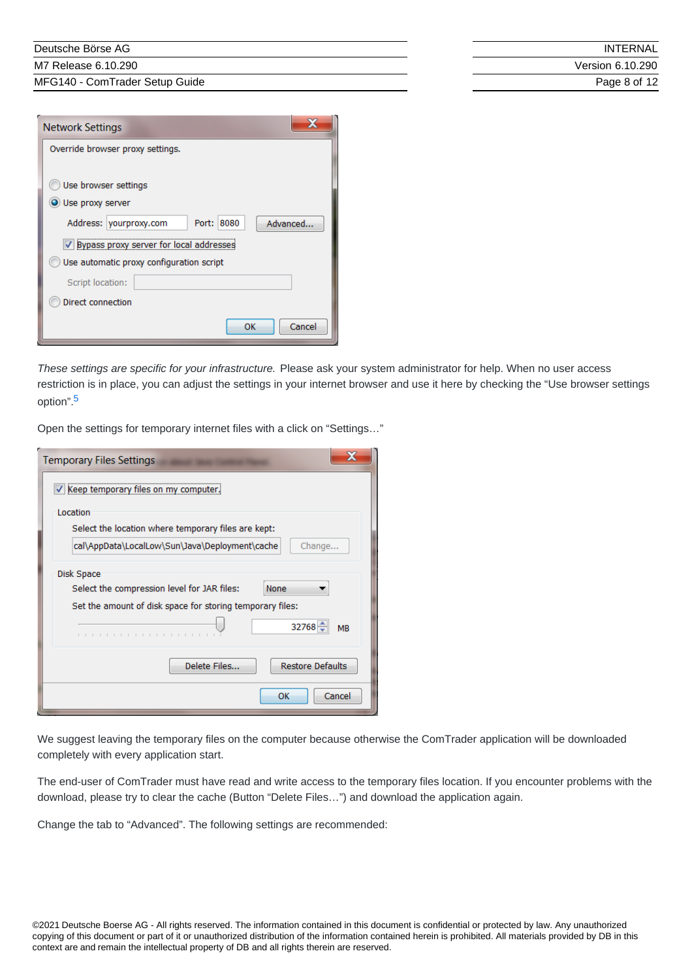M7 Release 6.10.290

MFG140 - ComTrader Setup Guide

| INTFRNAI         |
|------------------|
| Version 6.10.290 |
| Page 8 of 12     |

| <b>Network Settings</b>                          |
|--------------------------------------------------|
| Override browser proxy settings.                 |
| Use browser settings                             |
| O Use proxy server                               |
| Address: yourproxy.com<br>Port: 8080<br>Advanced |
| V Bypass proxy server for local addresses        |
| Use automatic proxy configuration script         |
| Script location:                                 |
| Direct connection                                |
| Cancel<br>ок                                     |

*These settings are specific for your infrastructure.* Please ask your system administrator for help. When no user access restriction is in place, you can adjust the settings in your internet browser and use it here by checking the "Use browser settings option". [5](#page-11-4)

<span id="page-7-0"></span>Open the settings for temporary internet files with a click on "Settings…"

| <b>Temporary Files Settings</b>                                                                                                                          |  |
|----------------------------------------------------------------------------------------------------------------------------------------------------------|--|
| Keep temporary files on my computer.                                                                                                                     |  |
| Location<br>Select the location where temporary files are kept:                                                                                          |  |
| cal\AppData\LocalLow\Sun\Java\Deployment\cache<br>Change                                                                                                 |  |
| Disk Space<br>Select the compression level for JAR files:<br>None<br>Set the amount of disk space for storing temporary files:<br>$32768 -$<br><b>MB</b> |  |
| Delete Files<br><b>Restore Defaults</b><br>Cancel<br>OK                                                                                                  |  |

We suggest leaving the temporary files on the computer because otherwise the ComTrader application will be downloaded completely with every application start.

The end-user of ComTrader must have read and write access to the temporary files location. If you encounter problems with the download, please try to clear the cache (Button "Delete Files…") and download the application again.

Change the tab to "Advanced". The following settings are recommended: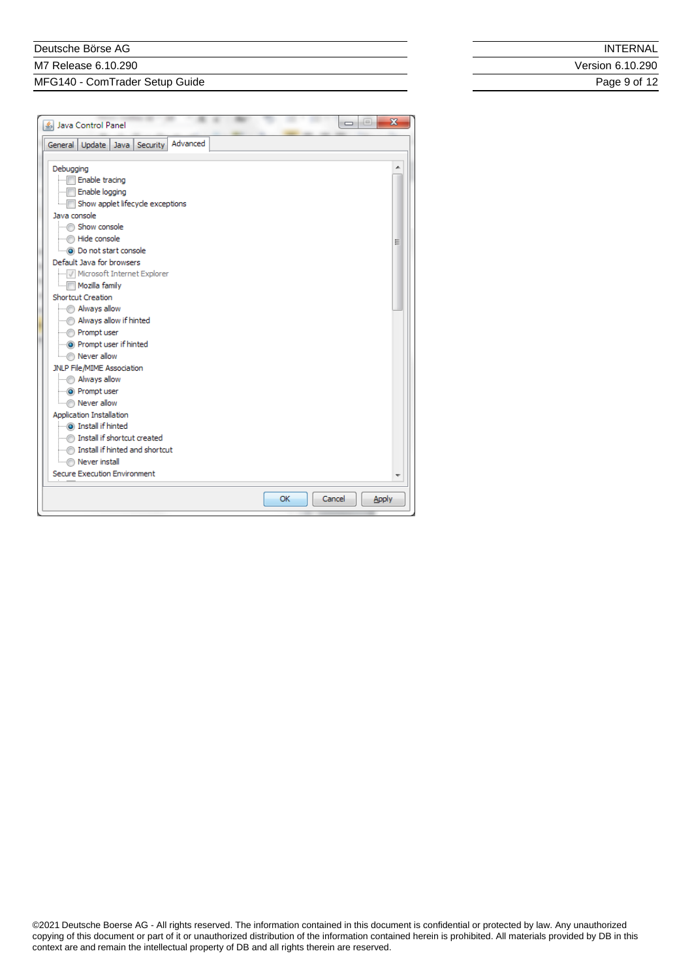#### Deutsche Börse AG

M7 Release 6.10.290

MFG140 - ComTrader Setup Guide

| INTERNAL |
|----------|
|----------|

Version 6.10.290

Page 9 of 12

| Java Control Panel                       |    |        | $=$<br>- | $\mathbf{x}$ |
|------------------------------------------|----|--------|----------|--------------|
| Advanced<br>General Update Java Security |    |        |          |              |
|                                          |    |        |          |              |
| Debugging                                |    |        |          |              |
| Enable tracing                           |    |        |          |              |
| Enable logging                           |    |        |          |              |
| i Show applet lifecycle exceptions       |    |        |          |              |
| Java console                             |    |        |          |              |
|                                          |    |        |          |              |
| i Hide console                           |    |        |          | Ξ            |
|                                          |    |        |          |              |
| Default Java for browsers                |    |        |          |              |
| Microsoft Internet Explorer              |    |        |          |              |
| Mozilla family<br>Shortcut Creation      |    |        |          |              |
| Mways allow                              |    |        |          |              |
| Always allow if hinted                   |    |        |          |              |
| Prompt user                              |    |        |          |              |
| im @ Prompt user if hinted               |    |        |          |              |
| Mever allow                              |    |        |          |              |
| JNLP File/MIME Association               |    |        |          |              |
| Mways allow                              |    |        |          |              |
| i <b>O</b> Prompt user                   |    |        |          |              |
| Mever allow                              |    |        |          |              |
| Application Installation                 |    |        |          |              |
|                                          |    |        |          |              |
| Install if shortcut created              |    |        |          |              |
|                                          |    |        |          |              |
| Never install                            |    |        |          |              |
| Secure Execution Environment             |    |        |          |              |
|                                          |    |        |          |              |
|                                          | OK | Cancel |          | <b>Apply</b> |
|                                          |    |        |          |              |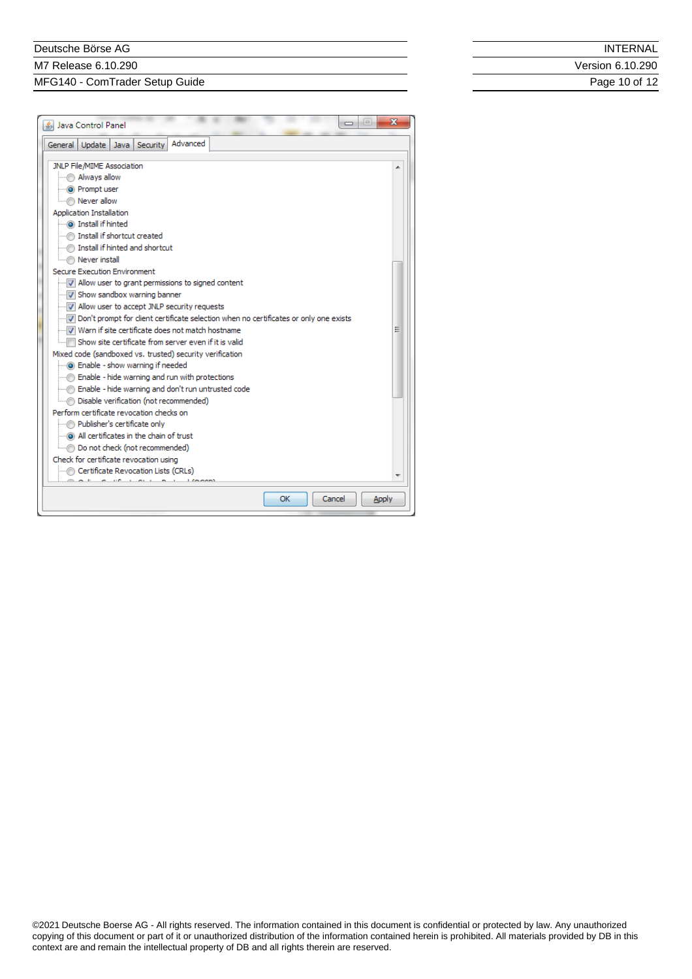#### Deutsche Börse AG

M7 Release 6.10.290

MFG140 - ComTrader Setup Guide

|  | INTERNAL |
|--|----------|
|--|----------|

Version 6.10.290

Page 10 of 12

| l co<br>Java Control Panel                                                            | х     |
|---------------------------------------------------------------------------------------|-------|
| Advanced<br>Update  <br>Security<br>General<br>Java I                                 |       |
| JNLP File/MIME Association                                                            |       |
| Mways allow                                                                           |       |
| <b>O</b> Prompt user                                                                  |       |
| Mever allow                                                                           |       |
| Application Installation                                                              |       |
| i Install if hinted                                                                   |       |
|                                                                                       |       |
|                                                                                       |       |
| Mever install                                                                         |       |
| Secure Execution Environment                                                          |       |
| M Allow user to grant permissions to signed content                                   |       |
| I Show sandbox warning banner                                                         |       |
| MILLION USER to accept JNLP security requests                                         |       |
| Don't prompt for client certificate selection when no certificates or only one exists |       |
| Warn if site certificate does not match hostname                                      |       |
| i[…] Show site certificate from server even if it is valid                            |       |
| Mixed code (sandboxed vs. trusted) security verification                              |       |
| i-o Enable - show warning if needed                                                   |       |
|                                                                                       |       |
|                                                                                       |       |
| Disable verification (not recommended)                                                |       |
| Perform certificate revocation checks on                                              |       |
| Publisher's certificate only                                                          |       |
| All certificates in the chain of trust                                                |       |
| Do not check (not recommended)                                                        |       |
| Check for certificate revocation using                                                |       |
| Certificate Revocation Lists (CRLs)                                                   |       |
|                                                                                       |       |
| Cancel<br>ОΚ                                                                          | Apply |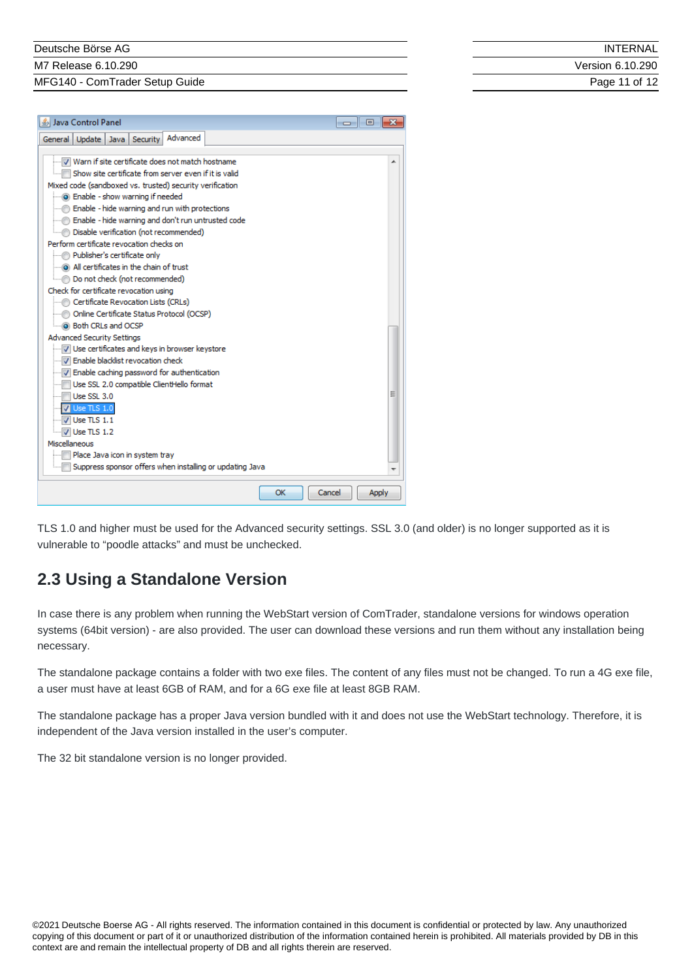M7 Release 6.10.290

MFG140 - ComTrader Setup Guide

| <b>INTERNAL</b>  |
|------------------|
| Version 6.10.290 |
| Page 11 of 12    |

| <b><i>L</i></b> Java Control Panel                       | $\Box$ | 回     |  |
|----------------------------------------------------------|--------|-------|--|
| Advanced<br>Update  <br>Java Security<br>General         |        |       |  |
|                                                          |        |       |  |
| Warn if site certificate does not match hostname         |        |       |  |
| Show site certificate from server even if it is valid    |        |       |  |
| Mixed code (sandboxed vs. trusted) security verification |        |       |  |
| - in @ Enable - show warning if needed                   |        |       |  |
| Enable - hide warning and run with protections           |        |       |  |
| Enable - hide warning and don't run untrusted code       |        |       |  |
| Disable verification (not recommended)                   |        |       |  |
| Perform certificate revocation checks on                 |        |       |  |
| Publisher's certificate only                             |        |       |  |
|                                                          |        |       |  |
| Do not check (not recommended)                           |        |       |  |
| Check for certificate revocation using                   |        |       |  |
| Certificate Revocation Lists (CRLs)                      |        |       |  |
| Online Certificate Status Protocol (OCSP)                |        |       |  |
|                                                          |        |       |  |
| <b>Advanced Security Settings</b>                        |        |       |  |
| Use certificates and keys in browser keystore            |        |       |  |
| Finable blacklist revocation check                       |        |       |  |
| I Enable caching password for authentication             |        |       |  |
| Use SSL 2.0 compatible ClientHello format                |        |       |  |
| Use SSL 3.0                                              |        |       |  |
| <b>V</b> Use TLS 1.0                                     |        |       |  |
| $\triangledown$ Use TLS 1.1                              |        |       |  |
| $\overline{v}$ Use TLS 1.2                               |        |       |  |
| Miscellaneous                                            |        |       |  |
| Place Java icon in system tray                           |        |       |  |
| Suppress sponsor offers when installing or updating Java |        |       |  |
| OK<br>Cancel                                             |        | Apply |  |
|                                                          |        |       |  |

TLS 1.0 and higher must be used for the Advanced security settings. SSL 3.0 (and older) is no longer supported as it is vulnerable to "poodle attacks" and must be unchecked.

# <span id="page-10-0"></span>**2.3 Using a Standalone Version**

In case there is any problem when running the WebStart version of ComTrader, standalone versions for windows operation systems (64bit version) - are also provided. The user can download these versions and run them without any installation being necessary.

The standalone package contains a folder with two exe files. The content of any files must not be changed. To run a 4G exe file, a user must have at least 6GB of RAM, and for a 6G exe file at least 8GB RAM.

The standalone package has a proper Java version bundled with it and does not use the WebStart technology. Therefore, it is independent of the Java version installed in the user's computer.

The 32 bit standalone version is no longer provided.